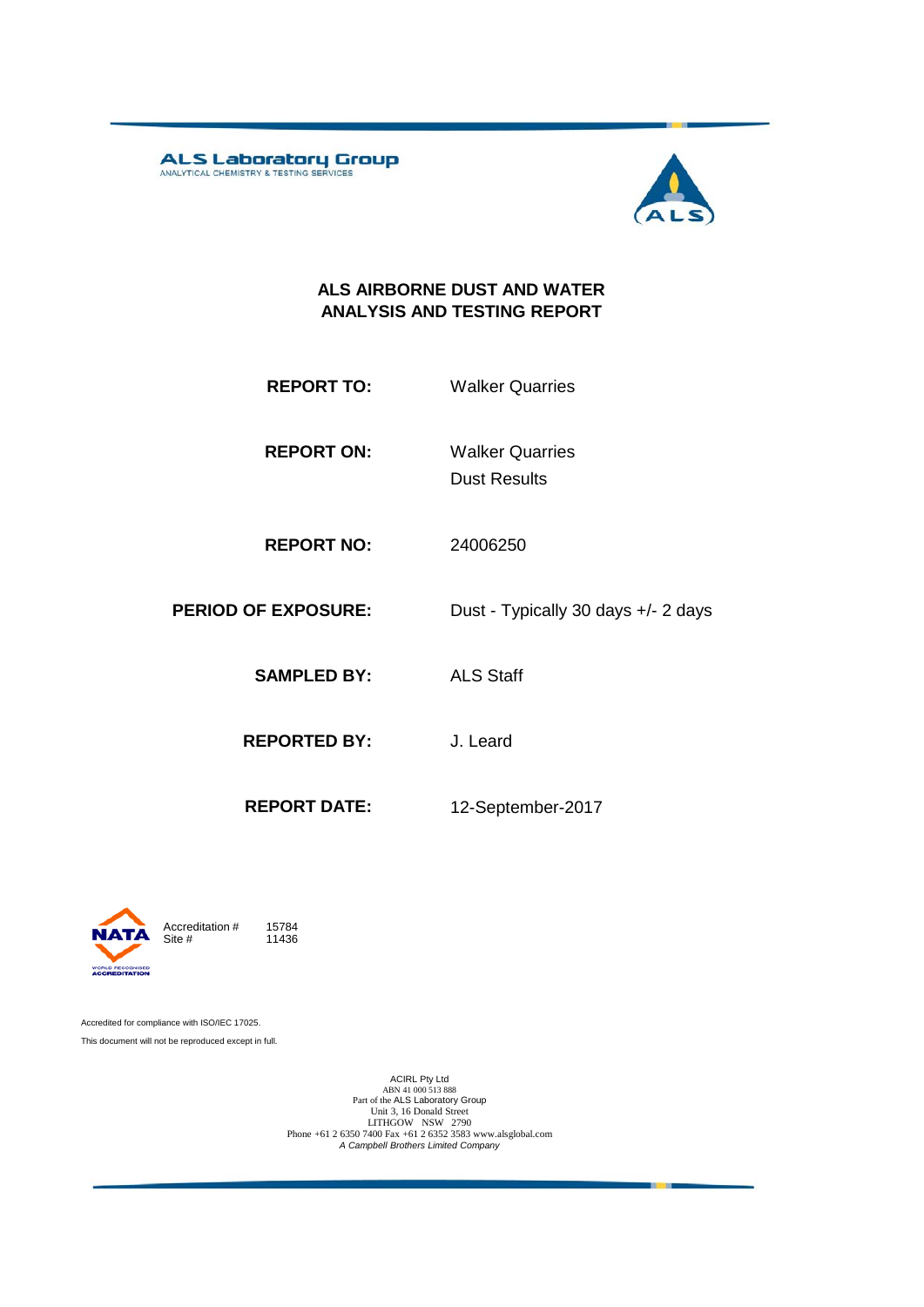**ALS Laboratory Group** 



#### **ALS AIRBORNE DUST AND WATER ANALYSIS AND TESTING REPORT**

- **REPORT TO:** Walker Quarries
- **REPORT ON:** Dust Results Walker Quarries
- **REPORT NO:** 24006250
- **PERIOD OF EXPOSURE:** Dust Typically 30 days +/- 2 days
	- **SAMPLED BY:** ALS Staff
	- **REPORTED BY:** J. Leard
		-
	- **REPORT DATE:** 12-September-2017



11436

Accredited for compliance with ISO/IEC 17025. This document will not be reproduced except in full.

ACIRL Pty Ltd<br>
ABN 41 000 513 888<br>
Part of the ALS Laboratory Group<br>
Unit 3, 16 Donald Street<br>
LITHGOW NSW 2790<br>
Phone +61 2 6350 7400 Fax +61 2 6352 3583 www.alsglobal.com<br> *A Campbell Brothers Limited Company*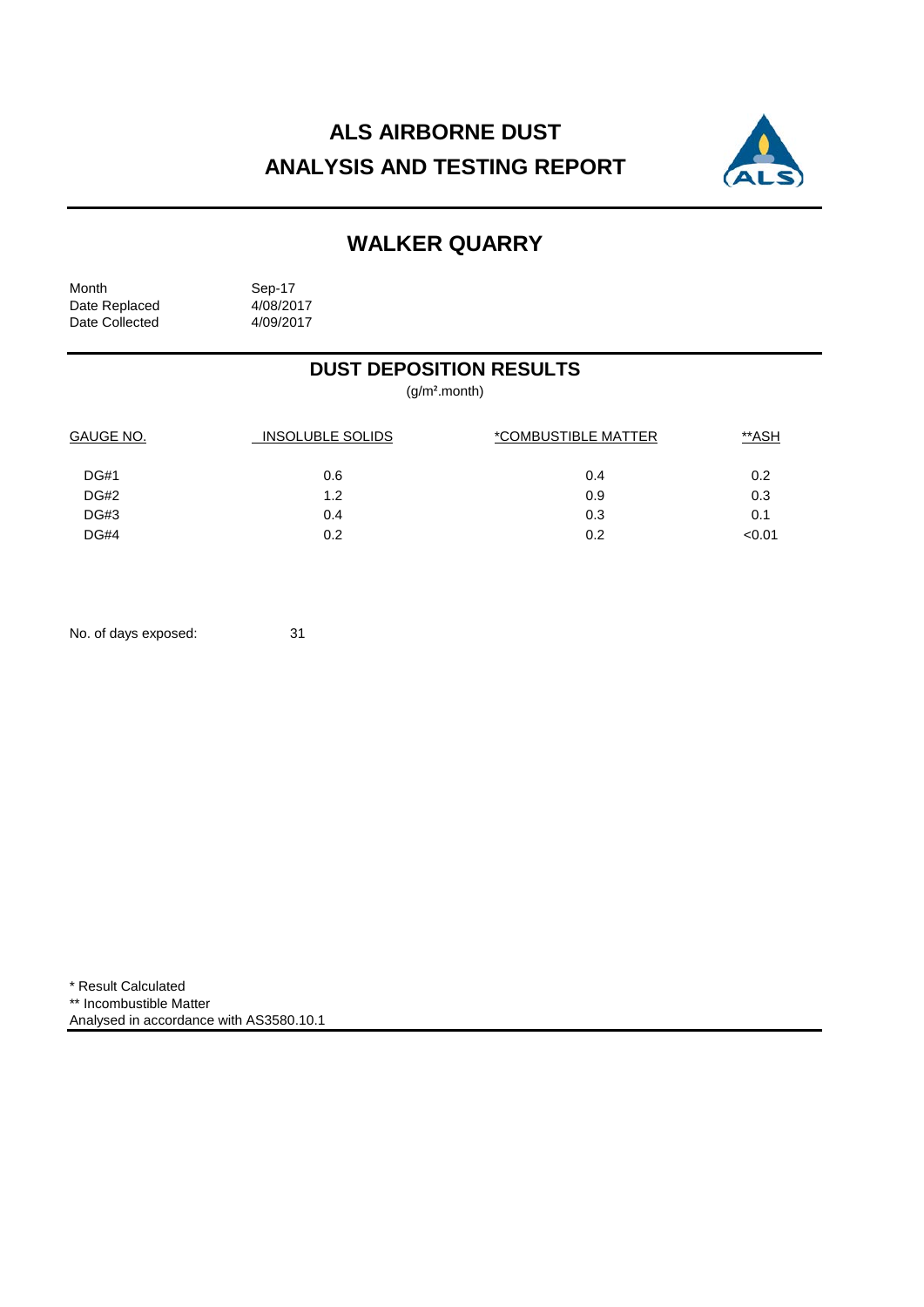# **ALS AIRBORNE DUST ANALYSIS AND TESTING REPORT**



## **WALKER QUARRY**

Month Sep-17<br>Date Replaced 4/08/2017 Date Replaced 4/08/2017<br>Date Collected 4/09/2017 Date Collected

### **DUST DEPOSITION RESULTS**

(g/m².month)

| GAUGE NO.   | <b>INSOLUBLE SOLIDS</b> | *COMBUSTIBLE MATTER | <u>**ASH</u> |  |
|-------------|-------------------------|---------------------|--------------|--|
| <b>DG#1</b> | 0.6                     | 0.4                 | 0.2          |  |
| <b>DG#2</b> | 1.2                     | 0.9                 | 0.3          |  |
| DG#3        | 0.4                     | 0.3                 | 0.1          |  |
| <b>DG#4</b> | 0.2                     | 0.2                 | < 0.01       |  |

No. of days exposed: 31

\* Result Calculated \*\* Incombustible Matter Analysed in accordance with AS3580.10.1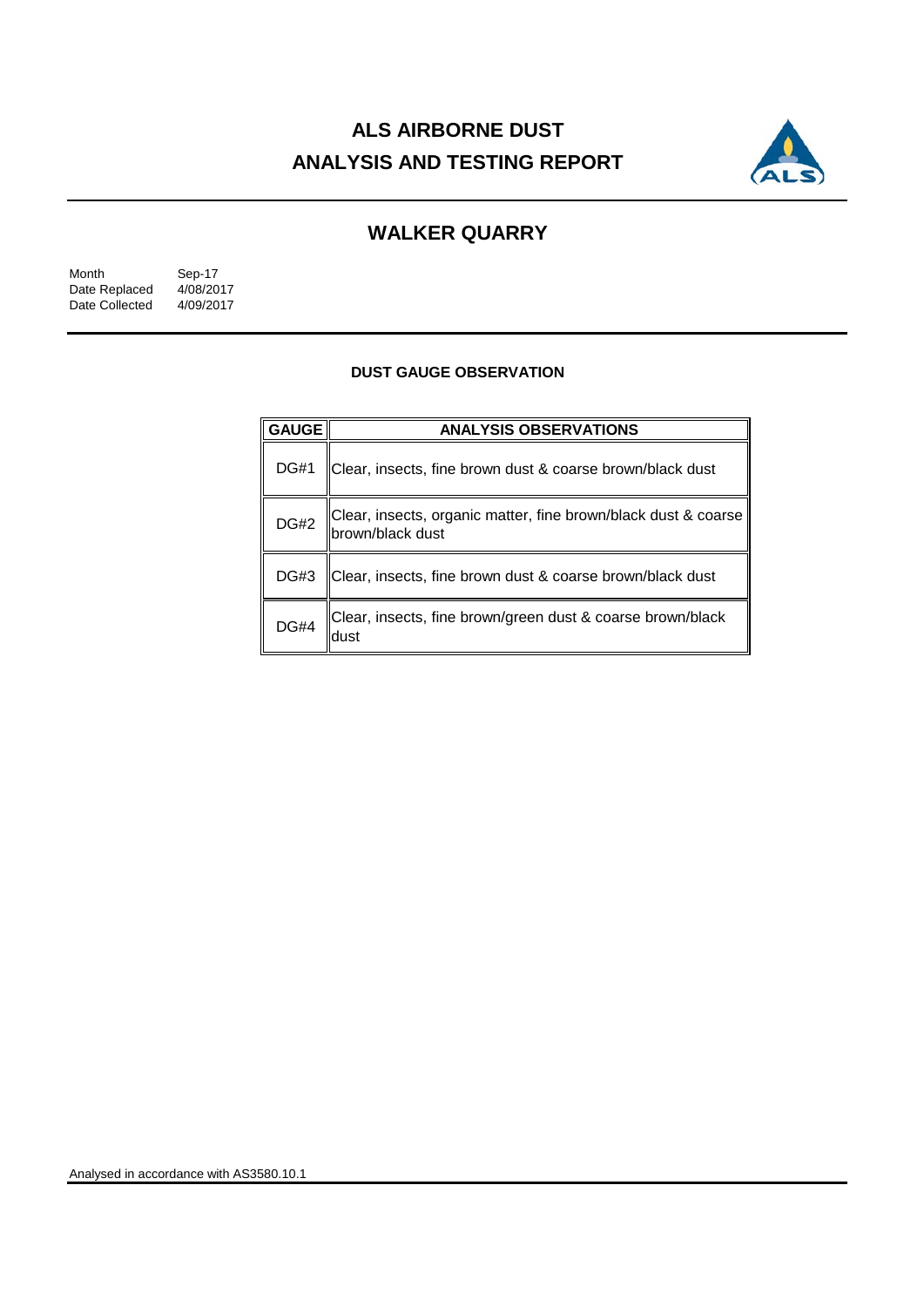# **ALS AIRBORNE DUST ANALYSIS AND TESTING REPORT**



## **WALKER QUARRY**

| Month          | Sep-17    |  |  |
|----------------|-----------|--|--|
| Date Replaced  | 4/08/2017 |  |  |
| Date Collected | 4/09/2017 |  |  |

#### **DUST GAUGE OBSERVATION**

| <b>GAUGE</b> | <b>ANALYSIS OBSERVATIONS</b>                                                        |  |  |
|--------------|-------------------------------------------------------------------------------------|--|--|
| <b>DG#1</b>  | Clear, insects, fine brown dust & coarse brown/black dust                           |  |  |
| <b>DG#2</b>  | Clear, insects, organic matter, fine brown/black dust & coarse<br> brown/black dust |  |  |
| DG#3         | Clear, insects, fine brown dust & coarse brown/black dust                           |  |  |
| <b>DG#4</b>  | Clear, insects, fine brown/green dust & coarse brown/black                          |  |  |